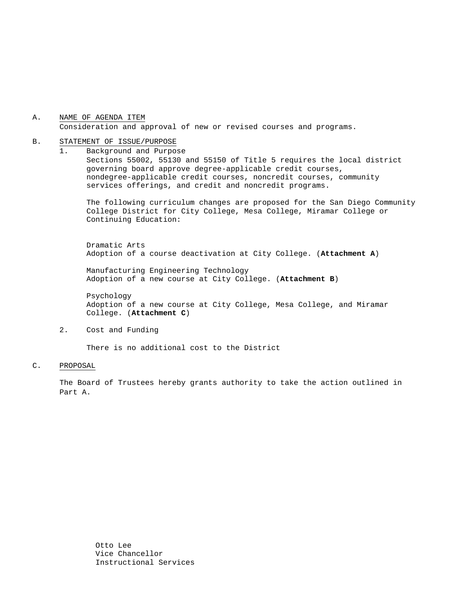#### A. NAME OF AGENDA ITEM Consideration and approval of new or revised courses and programs.

#### B. STATEMENT OF ISSUE/PURPOSE

1. Background and Purpose Sections 55002, 55130 and 55150 of Title 5 requires the local district governing board approve degree-applicable credit courses, nondegree-applicable credit courses, noncredit courses, community services offerings, and credit and noncredit programs.

The following curriculum changes are proposed for the San Diego Community College District for City College, Mesa College, Miramar College or Continuing Education:

 Dramatic Arts Adoption of a course deactivation at City College. (**Attachment A**)

Manufacturing Engineering Technology Adoption of a new course at City College. (**Attachment B**)

Psychology Adoption of a new course at City College, Mesa College, and Miramar College. (**Attachment C**)

2. Cost and Funding

There is no additional cost to the District

#### C. PROPOSAL

The Board of Trustees hereby grants authority to take the action outlined in Part A.

> Otto Lee Vice Chancellor Instructional Services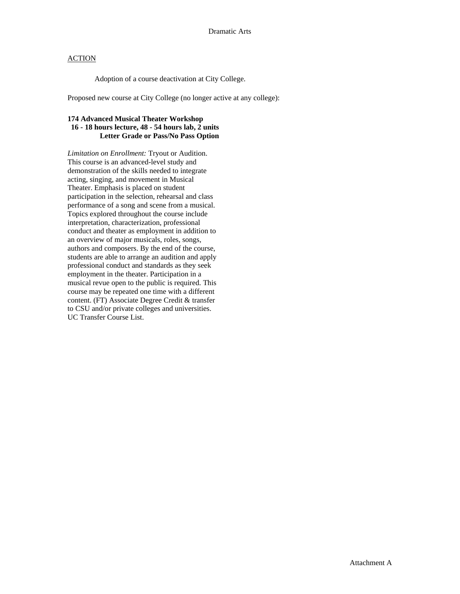### **ACTION**

Adoption of a course deactivation at City College.

Proposed new course at City College (no longer active at any college):

# **174 Advanced Musical Theater Workshop 16 - 18 hours lecture, 48 - 54 hours lab, 2 units Letter Grade or Pass/No Pass Option**

*Limitation on Enrollment:* Tryout or Audition. This course is an advanced-level study and demonstration of the skills needed to integrate acting, singing, and movement in Musical Theater. Emphasis is placed on student participation in the selection, rehearsal and class performance of a song and scene from a musical. Topics explored throughout the course include interpretation, characterization, professional conduct and theater as employment in addition to an overview of major musicals, roles, songs, authors and composers. By the end of the course, students are able to arrange an audition and apply professional conduct and standards as they seek employment in the theater. Participation in a musical revue open to the public is required. This course may be repeated one time with a different content. (FT) Associate Degree Credit & transfer to CSU and/or private colleges and universities. UC Transfer Course List.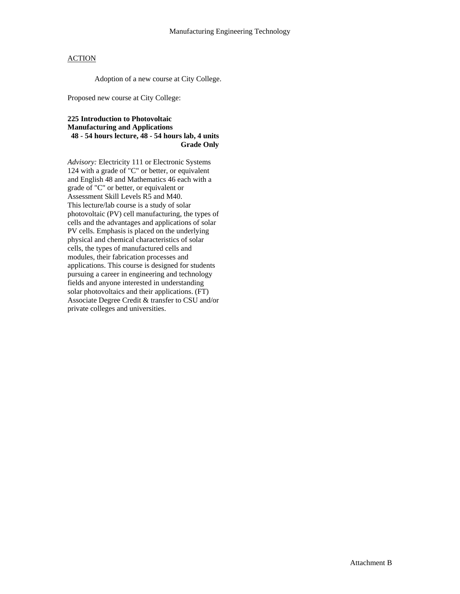### ACTION

Adoption of a new course at City College.

Proposed new course at City College:

#### **225 Introduction to Photovoltaic Manufacturing and Applications 48 - 54 hours lecture, 48 - 54 hours lab, 4 units Grade Only**

*Advisory:* Electricity 111 or Electronic Systems 124 with a grade of "C" or better, or equivalent and English 48 and Mathematics 46 each with a grade of "C" or better, or equivalent or Assessment Skill Levels R5 and M40. This lecture/lab course is a study of solar photovoltaic (PV) cell manufacturing, the types of cells and the advantages and applications of solar PV cells. Emphasis is placed on the underlying physical and chemical characteristics of solar cells, the types of manufactured cells and modules, their fabrication processes and applications. This course is designed for students pursuing a career in engineering and technology fields and anyone interested in understanding solar photovoltaics and their applications. (FT) Associate Degree Credit & transfer to CSU and/or private colleges and universities.